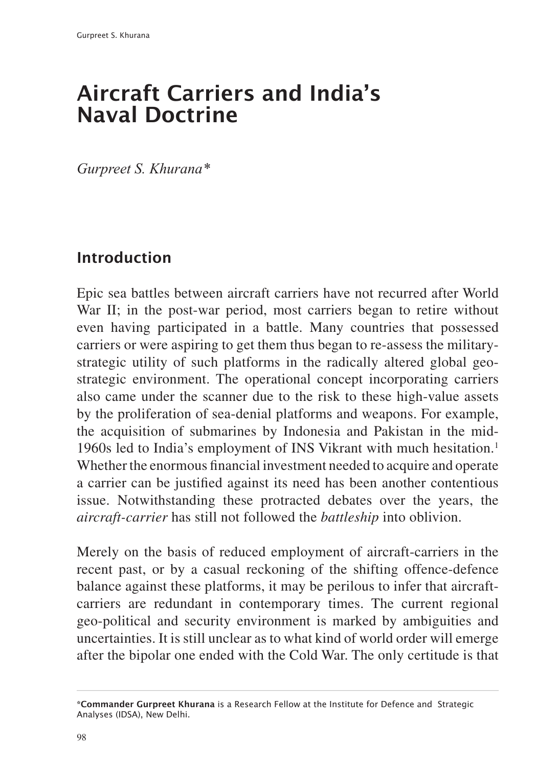# Aircraft Carriers and India's Naval Doctrine

*Gurpreet S. Khurana\**

# Introduction

Epic sea battles between aircraft carriers have not recurred after World War II; in the post-war period, most carriers began to retire without even having participated in a battle. Many countries that possessed carriers or were aspiring to get them thus began to re-assess the militarystrategic utility of such platforms in the radically altered global geostrategic environment. The operational concept incorporating carriers also came under the scanner due to the risk to these high-value assets by the proliferation of sea-denial platforms and weapons. For example, the acquisition of submarines by Indonesia and Pakistan in the mid-1960s led to India's employment of INS Vikrant with much hesitation.1 Whether the enormous financial investment needed to acquire and operate a carrier can be justified against its need has been another contentious issue. Notwithstanding these protracted debates over the years, the *aircraft-carrier* has still not followed the *battleship* into oblivion.

Merely on the basis of reduced employment of aircraft-carriers in the recent past, or by a casual reckoning of the shifting offence-defence balance against these platforms, it may be perilous to infer that aircraftcarriers are redundant in contemporary times. The current regional geo-political and security environment is marked by ambiguities and uncertainties. It is still unclear as to what kind of world order will emerge after the bipolar one ended with the Cold War. The only certitude is that

<sup>\*</sup>Commander Gurpreet Khurana is a Research Fellow at the Institute for Defence and Strategic Analyses (IDSA), New Delhi.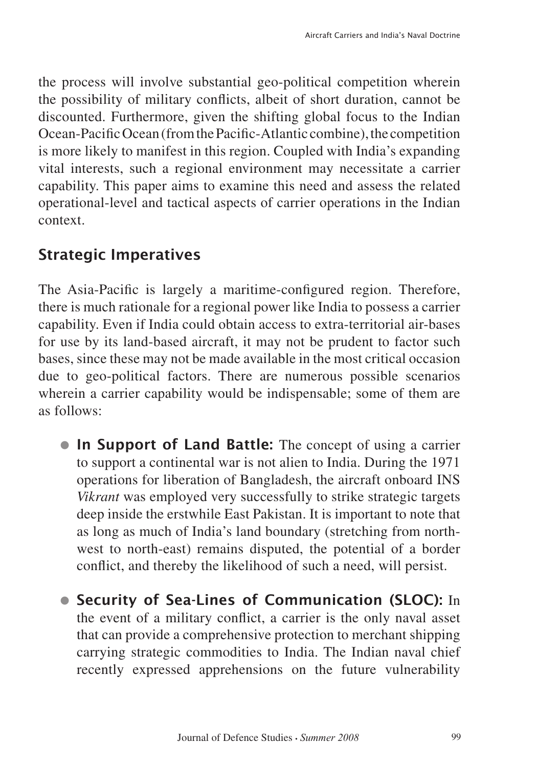the process will involve substantial geo-political competition wherein the possibility of military conflicts, albeit of short duration, cannot be discounted. Furthermore, given the shifting global focus to the Indian Ocean-Pacific Ocean (from the Pacific-Atlantic combine), the competition is more likely to manifest in this region. Coupled with India's expanding vital interests, such a regional environment may necessitate a carrier capability. This paper aims to examine this need and assess the related operational-level and tactical aspects of carrier operations in the Indian context.

#### Strategic Imperatives

The Asia-Pacific is largely a maritime-configured region. Therefore, there is much rationale for a regional power like India to possess a carrier capability. Even if India could obtain access to extra-territorial air-bases for use by its land-based aircraft, it may not be prudent to factor such bases, since these may not be made available in the most critical occasion due to geo-political factors. There are numerous possible scenarios wherein a carrier capability would be indispensable; some of them are as follows:

- In Support of Land Battle: The concept of using a carrier to support a continental war is not alien to India. During the 1971 operations for liberation of Bangladesh, the aircraft onboard INS *Vikrant* was employed very successfully to strike strategic targets deep inside the erstwhile East Pakistan. It is important to note that as long as much of India's land boundary (stretching from northwest to north-east) remains disputed, the potential of a border conflict, and thereby the likelihood of such a need, will persist.
- **Security of Sea-Lines of Communication (SLOC):** In the event of a military conflict, a carrier is the only naval asset that can provide a comprehensive protection to merchant shipping carrying strategic commodities to India. The Indian naval chief recently expressed apprehensions on the future vulnerability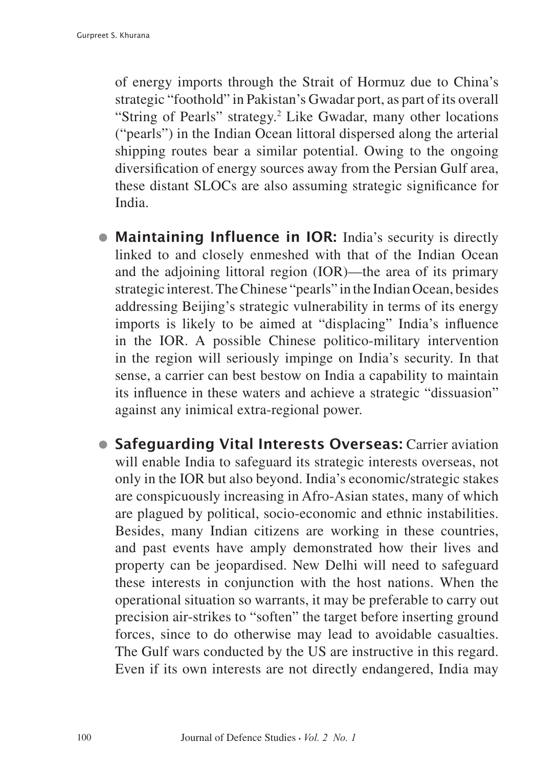of energy imports through the Strait of Hormuz due to China's strategic "foothold" in Pakistan's Gwadar port, as part of its overall "String of Pearls" strategy.<sup>2</sup> Like Gwadar, many other locations ("pearls") in the Indian Ocean littoral dispersed along the arterial shipping routes bear a similar potential. Owing to the ongoing diversification of energy sources away from the Persian Gulf area, these distant SLOCs are also assuming strategic significance for India.

- Maintaining Influence in IOR: India's security is directly linked to and closely enmeshed with that of the Indian Ocean and the adjoining littoral region (IOR)—the area of its primary strategic interest. The Chinese "pearls" in the Indian Ocean, besides addressing Beijing's strategic vulnerability in terms of its energy imports is likely to be aimed at "displacing" India's influence in the IOR. A possible Chinese politico-military intervention in the region will seriously impinge on India's security. In that sense, a carrier can best bestow on India a capability to maintain its influence in these waters and achieve a strategic "dissuasion" against any inimical extra-regional power.
- **Safeguarding Vital Interests Overseas: Carrier aviation** will enable India to safeguard its strategic interests overseas, not only in the IOR but also beyond. India's economic/strategic stakes are conspicuously increasing in Afro-Asian states, many of which are plagued by political, socio-economic and ethnic instabilities. Besides, many Indian citizens are working in these countries, and past events have amply demonstrated how their lives and property can be jeopardised. New Delhi will need to safeguard these interests in conjunction with the host nations. When the operational situation so warrants, it may be preferable to carry out precision air-strikes to "soften" the target before inserting ground forces, since to do otherwise may lead to avoidable casualties. The Gulf wars conducted by the US are instructive in this regard. Even if its own interests are not directly endangered, India may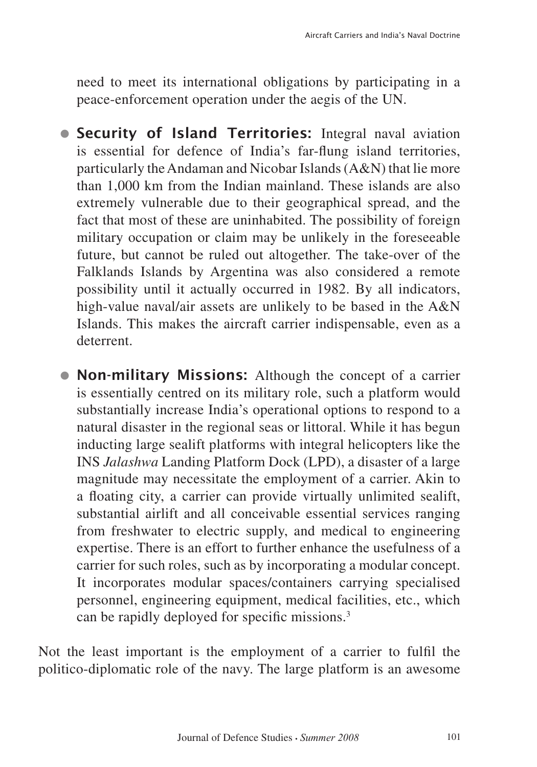need to meet its international obligations by participating in a peace-enforcement operation under the aegis of the UN.

- **Security of Island Territories:** Integral naval aviation is essential for defence of India's far-flung island territories, particularly the Andaman and Nicobar Islands (A&N) that lie more than 1,000 km from the Indian mainland. These islands are also extremely vulnerable due to their geographical spread, and the fact that most of these are uninhabited. The possibility of foreign military occupation or claim may be unlikely in the foreseeable future, but cannot be ruled out altogether. The take-over of the Falklands Islands by Argentina was also considered a remote possibility until it actually occurred in 1982. By all indicators, high-value naval/air assets are unlikely to be based in the A&N Islands. This makes the aircraft carrier indispensable, even as a deterrent.
- Non-military Missions: Although the concept of a carrier is essentially centred on its military role, such a platform would substantially increase India's operational options to respond to a natural disaster in the regional seas or littoral. While it has begun inducting large sealift platforms with integral helicopters like the INS *Jalashwa* Landing Platform Dock (LPD), a disaster of a large magnitude may necessitate the employment of a carrier. Akin to a floating city, a carrier can provide virtually unlimited sealift, substantial airlift and all conceivable essential services ranging from freshwater to electric supply, and medical to engineering expertise. There is an effort to further enhance the usefulness of a carrier for such roles, such as by incorporating a modular concept. It incorporates modular spaces/containers carrying specialised personnel, engineering equipment, medical facilities, etc., which can be rapidly deployed for specific missions.3

Not the least important is the employment of a carrier to fulfil the politico-diplomatic role of the navy. The large platform is an awesome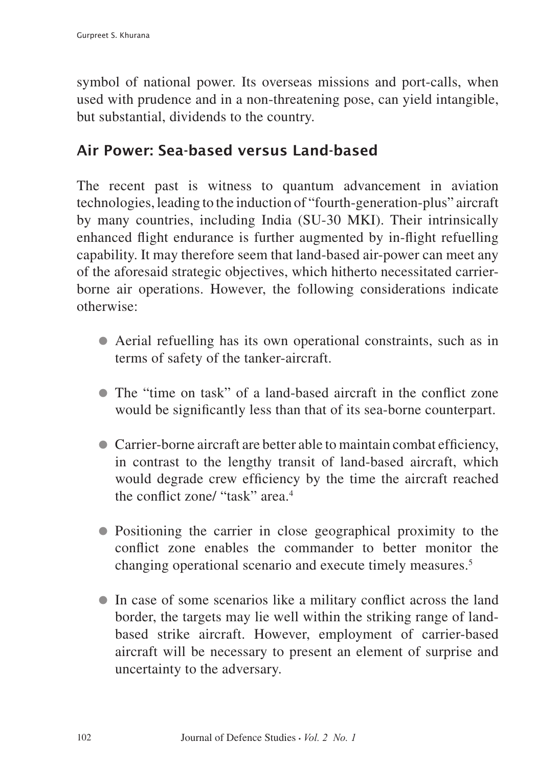symbol of national power. Its overseas missions and port-calls, when used with prudence and in a non-threatening pose, can yield intangible, but substantial, dividends to the country.

#### Air Power: Sea-based versus Land-based

The recent past is witness to quantum advancement in aviation technologies, leading to the induction of "fourth-generation-plus" aircraft by many countries, including India (SU-30 MKI). Their intrinsically enhanced flight endurance is further augmented by in-flight refuelling capability. It may therefore seem that land-based air-power can meet any of the aforesaid strategic objectives, which hitherto necessitated carrierborne air operations. However, the following considerations indicate otherwise:

- Aerial refuelling has its own operational constraints, such as in terms of safety of the tanker-aircraft.
- The "time on task" of a land-based aircraft in the conflict zone would be significantly less than that of its sea-borne counterpart.
- Carrier-borne aircraft are better able to maintain combat efficiency, in contrast to the lengthy transit of land-based aircraft, which would degrade crew efficiency by the time the aircraft reached the conflict zone/ "task" area.4
- Positioning the carrier in close geographical proximity to the conflict zone enables the commander to better monitor the changing operational scenario and execute timely measures.5
- In case of some scenarios like a military conflict across the land border, the targets may lie well within the striking range of landbased strike aircraft. However, employment of carrier-based aircraft will be necessary to present an element of surprise and uncertainty to the adversary.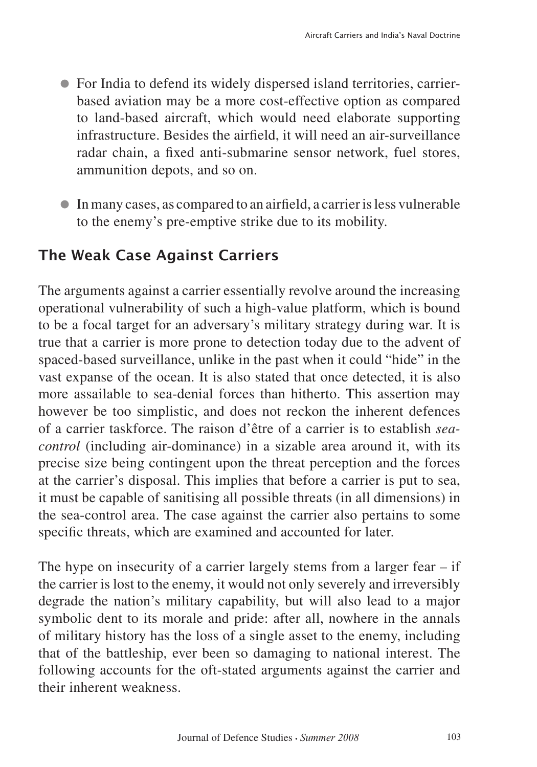- For India to defend its widely dispersed island territories, carrierbased aviation may be a more cost-effective option as compared to land-based aircraft, which would need elaborate supporting infrastructure. Besides the airfield, it will need an air-surveillance radar chain, a fixed anti-submarine sensor network, fuel stores, ammunition depots, and so on.
- In many cases, as compared to an airfield, a carrier is less vulnerable to the enemy's pre-emptive strike due to its mobility.

# The Weak Case Against Carriers

The arguments against a carrier essentially revolve around the increasing operational vulnerability of such a high-value platform, which is bound to be a focal target for an adversary's military strategy during war. It is true that a carrier is more prone to detection today due to the advent of spaced-based surveillance, unlike in the past when it could "hide" in the vast expanse of the ocean. It is also stated that once detected, it is also more assailable to sea-denial forces than hitherto. This assertion may however be too simplistic, and does not reckon the inherent defences of a carrier taskforce. The raison d'être of a carrier is to establish *seacontrol* (including air-dominance) in a sizable area around it, with its precise size being contingent upon the threat perception and the forces at the carrier's disposal. This implies that before a carrier is put to sea, it must be capable of sanitising all possible threats (in all dimensions) in the sea-control area. The case against the carrier also pertains to some specific threats, which are examined and accounted for later.

The hype on insecurity of a carrier largely stems from a larger fear  $-$  if the carrier is lost to the enemy, it would not only severely and irreversibly degrade the nation's military capability, but will also lead to a major symbolic dent to its morale and pride: after all, nowhere in the annals of military history has the loss of a single asset to the enemy, including that of the battleship, ever been so damaging to national interest. The following accounts for the oft-stated arguments against the carrier and their inherent weakness.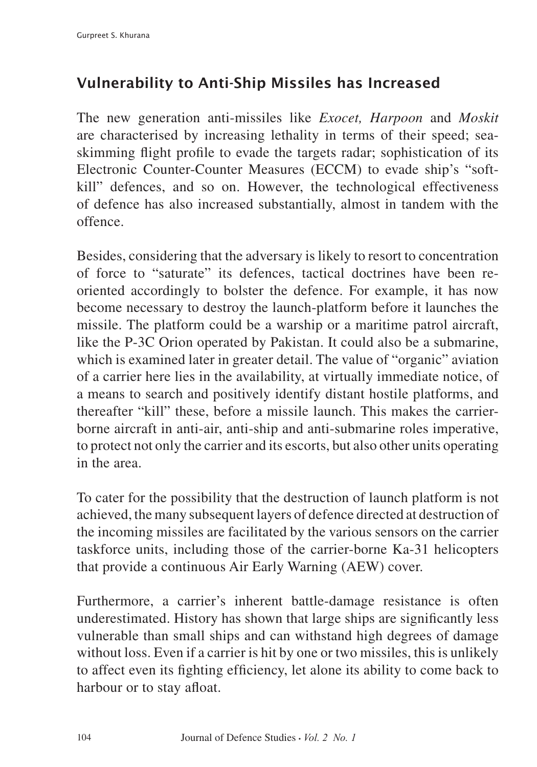# Vulnerability to Anti-Ship Missiles has Increased

The new generation anti-missiles like *Exocet, Harpoon* and *Moskit* are characterised by increasing lethality in terms of their speed; seaskimming flight profile to evade the targets radar; sophistication of its Electronic Counter-Counter Measures (ECCM) to evade ship's "softkill" defences, and so on. However, the technological effectiveness of defence has also increased substantially, almost in tandem with the offence.

Besides, considering that the adversary is likely to resort to concentration of force to "saturate" its defences, tactical doctrines have been reoriented accordingly to bolster the defence. For example, it has now become necessary to destroy the launch-platform before it launches the missile. The platform could be a warship or a maritime patrol aircraft, like the P-3C Orion operated by Pakistan. It could also be a submarine, which is examined later in greater detail. The value of "organic" aviation of a carrier here lies in the availability, at virtually immediate notice, of a means to search and positively identify distant hostile platforms, and thereafter "kill" these, before a missile launch. This makes the carrierborne aircraft in anti-air, anti-ship and anti-submarine roles imperative, to protect not only the carrier and its escorts, but also other units operating in the area.

To cater for the possibility that the destruction of launch platform is not achieved, the many subsequent layers of defence directed at destruction of the incoming missiles are facilitated by the various sensors on the carrier taskforce units, including those of the carrier-borne Ka-31 helicopters that provide a continuous Air Early Warning (AEW) cover.

Furthermore, a carrier's inherent battle-damage resistance is often underestimated. History has shown that large ships are significantly less vulnerable than small ships and can withstand high degrees of damage without loss. Even if a carrier is hit by one or two missiles, this is unlikely to affect even its fighting efficiency, let alone its ability to come back to harbour or to stay afloat.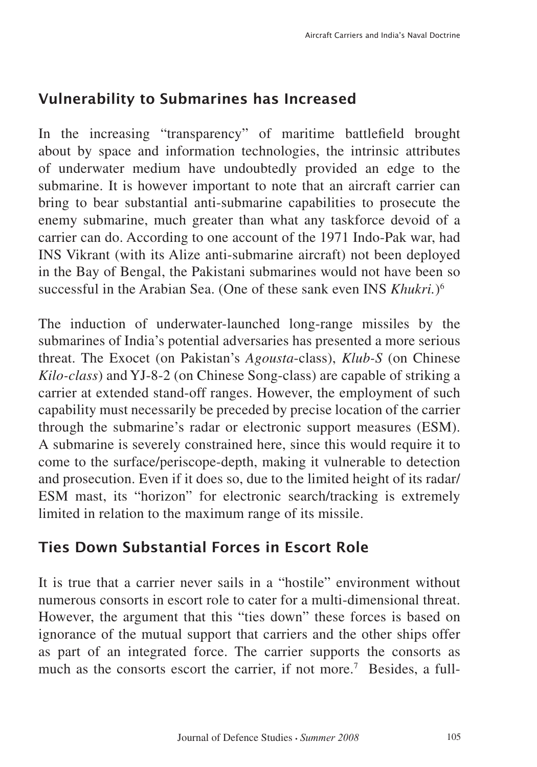### Vulnerability to Submarines has Increased

In the increasing "transparency" of maritime battlefield brought about by space and information technologies, the intrinsic attributes of underwater medium have undoubtedly provided an edge to the submarine. It is however important to note that an aircraft carrier can bring to bear substantial anti-submarine capabilities to prosecute the enemy submarine, much greater than what any taskforce devoid of a carrier can do. According to one account of the 1971 Indo-Pak war, had INS Vikrant (with its Alize anti-submarine aircraft) not been deployed in the Bay of Bengal, the Pakistani submarines would not have been so successful in the Arabian Sea. (One of these sank even INS *Khukri.*)6

The induction of underwater-launched long-range missiles by the submarines of India's potential adversaries has presented a more serious threat. The Exocet (on Pakistan's *Agousta*-class), *Klub-S* (on Chinese *Kilo-class*) and YJ-8-2 (on Chinese Song-class) are capable of striking a carrier at extended stand-off ranges. However, the employment of such capability must necessarily be preceded by precise location of the carrier through the submarine's radar or electronic support measures (ESM). A submarine is severely constrained here, since this would require it to come to the surface/periscope-depth, making it vulnerable to detection and prosecution. Even if it does so, due to the limited height of its radar/ ESM mast, its "horizon" for electronic search/tracking is extremely limited in relation to the maximum range of its missile.

# Ties Down Substantial Forces in Escort Role

It is true that a carrier never sails in a "hostile" environment without numerous consorts in escort role to cater for a multi-dimensional threat. However, the argument that this "ties down" these forces is based on ignorance of the mutual support that carriers and the other ships offer as part of an integrated force. The carrier supports the consorts as much as the consorts escort the carrier, if not more.<sup>7</sup> Besides, a full-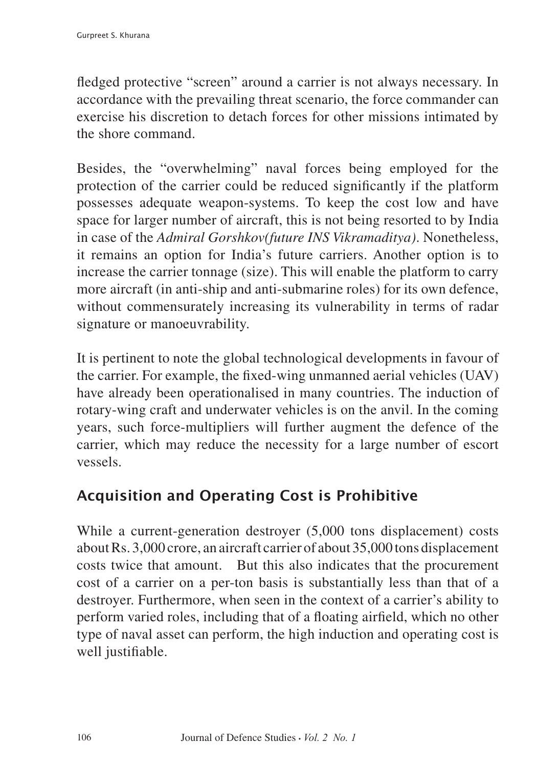fledged protective "screen" around a carrier is not always necessary. In accordance with the prevailing threat scenario, the force commander can exercise his discretion to detach forces for other missions intimated by the shore command.

Besides, the "overwhelming" naval forces being employed for the protection of the carrier could be reduced significantly if the platform possesses adequate weapon-systems. To keep the cost low and have space for larger number of aircraft, this is not being resorted to by India in case of the *Admiral Gorshkov(future INS Vikramaditya)*. Nonetheless, it remains an option for India's future carriers. Another option is to increase the carrier tonnage (size). This will enable the platform to carry more aircraft (in anti-ship and anti-submarine roles) for its own defence, without commensurately increasing its vulnerability in terms of radar signature or manoeuvrability.

It is pertinent to note the global technological developments in favour of the carrier. For example, the fixed-wing unmanned aerial vehicles (UAV) have already been operationalised in many countries. The induction of rotary-wing craft and underwater vehicles is on the anvil. In the coming years, such force-multipliers will further augment the defence of the carrier, which may reduce the necessity for a large number of escort vessels.

# Acquisition and Operating Cost is Prohibitive

While a current-generation destroyer (5,000 tons displacement) costs about Rs. 3,000 crore, an aircraft carrier of about 35,000 tons displacement costs twice that amount. But this also indicates that the procurement cost of a carrier on a per-ton basis is substantially less than that of a destroyer. Furthermore, when seen in the context of a carrier's ability to perform varied roles, including that of a floating airfield, which no other type of naval asset can perform, the high induction and operating cost is well justifiable.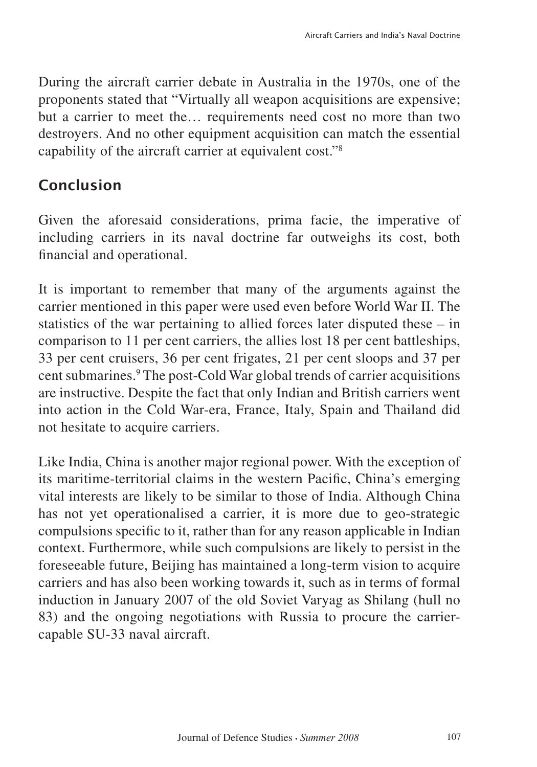During the aircraft carrier debate in Australia in the 1970s, one of the proponents stated that "Virtually all weapon acquisitions are expensive; but a carrier to meet the… requirements need cost no more than two destroyers. And no other equipment acquisition can match the essential capability of the aircraft carrier at equivalent cost."8

#### Conclusion

Given the aforesaid considerations, prima facie, the imperative of including carriers in its naval doctrine far outweighs its cost, both financial and operational.

It is important to remember that many of the arguments against the carrier mentioned in this paper were used even before World War II. The statistics of the war pertaining to allied forces later disputed these – in comparison to 11 per cent carriers, the allies lost 18 per cent battleships, 33 per cent cruisers, 36 per cent frigates, 21 per cent sloops and 37 per cent submarines.<sup>9</sup> The post-Cold War global trends of carrier acquisitions are instructive. Despite the fact that only Indian and British carriers went into action in the Cold War-era, France, Italy, Spain and Thailand did not hesitate to acquire carriers.

Like India, China is another major regional power. With the exception of its maritime-territorial claims in the western Pacific, China's emerging vital interests are likely to be similar to those of India. Although China has not yet operationalised a carrier, it is more due to geo-strategic compulsions specific to it, rather than for any reason applicable in Indian context. Furthermore, while such compulsions are likely to persist in the foreseeable future, Beijing has maintained a long-term vision to acquire carriers and has also been working towards it, such as in terms of formal induction in January 2007 of the old Soviet Varyag as Shilang (hull no 83) and the ongoing negotiations with Russia to procure the carriercapable SU-33 naval aircraft.